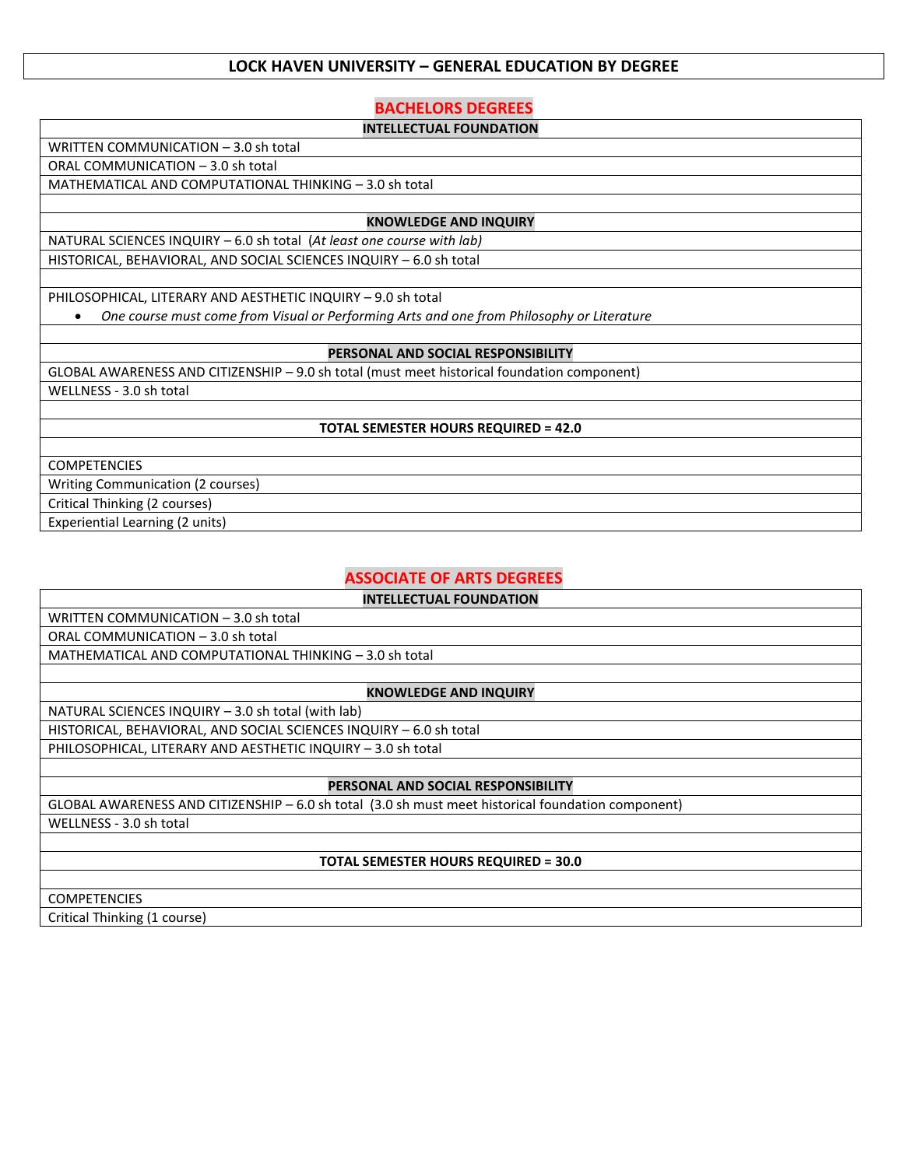## **LOCK HAVEN UNIVERSITY – GENERAL EDUCATION BY DEGREE**

# **BACHELORS DEGREES**

#### **INTELLECTUAL FOUNDATION**

WRITTEN COMMUNICATION – 3.0 sh total

ORAL COMMUNICATION – 3.0 sh total

MATHEMATICAL AND COMPUTATIONAL THINKING – 3.0 sh total

#### **KNOWLEDGE AND INQUIRY**

NATURAL SCIENCES INQUIRY – 6.0 sh total (*At least one course with lab)* HISTORICAL, BEHAVIORAL, AND SOCIAL SCIENCES INQUIRY – 6.0 sh total

PHILOSOPHICAL, LITERARY AND AESTHETIC INQUIRY – 9.0 sh total

• *One course must come from Visual or Performing Arts and one from Philosophy or Literature*

#### **PERSONAL AND SOCIAL RESPONSIBILITY**

GLOBAL AWARENESS AND CITIZENSHIP – 9.0 sh total (must meet historical foundation component)

WELLNESS - 3.0 sh total

#### **TOTAL SEMESTER HOURS REQUIRED = 42.0**

COMPETENCIES

Writing Communication (2 courses)

Critical Thinking (2 courses)

Experiential Learning (2 units)

# **ASSOCIATE OF ARTS DEGREES**

**INTELLECTUAL FOUNDATION**

WRITTEN COMMUNICATION – 3.0 sh total

ORAL COMMUNICATION – 3.0 sh total

MATHEMATICAL AND COMPUTATIONAL THINKING – 3.0 sh total

#### **KNOWLEDGE AND INQUIRY**

NATURAL SCIENCES INQUIRY – 3.0 sh total (with lab)

HISTORICAL, BEHAVIORAL, AND SOCIAL SCIENCES INQUIRY – 6.0 sh total PHILOSOPHICAL, LITERARY AND AESTHETIC INQUIRY – 3.0 sh total

#### **PERSONAL AND SOCIAL RESPONSIBILITY**

GLOBAL AWARENESS AND CITIZENSHIP – 6.0 sh total (3.0 sh must meet historical foundation component) WELLNESS - 3.0 sh total

#### **TOTAL SEMESTER HOURS REQUIRED = 30.0**

COMPETENCIES

Critical Thinking (1 course)